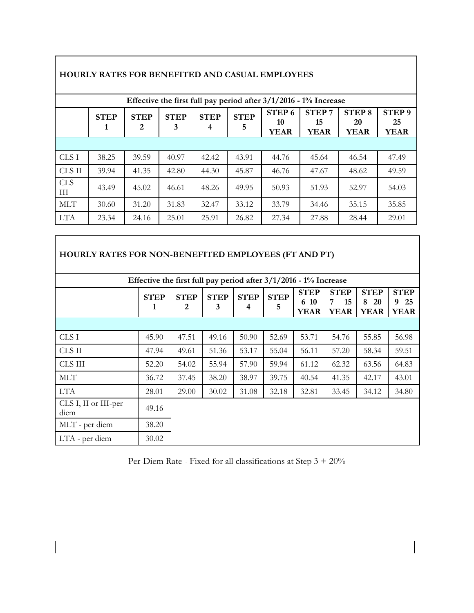| Effective the first full pay period after $3/1/2016$ - $1\%$ Increase |                  |                  |                  |                  |                  |                                        |                                   |                                    |                                        |  |  |
|-----------------------------------------------------------------------|------------------|------------------|------------------|------------------|------------------|----------------------------------------|-----------------------------------|------------------------------------|----------------------------------------|--|--|
|                                                                       | <b>STEP</b><br>1 | <b>STEP</b><br>2 | <b>STEP</b><br>3 | <b>STEP</b><br>4 | <b>STEP</b><br>5 | STEP <sub>6</sub><br>10<br><b>YEAR</b> | <b>STEP7</b><br>15<br><b>YEAR</b> | <b>STEP 8</b><br>20<br><b>YEAR</b> | STEP <sub>9</sub><br>25<br><b>YEAR</b> |  |  |
|                                                                       |                  |                  |                  |                  |                  |                                        |                                   |                                    |                                        |  |  |
| CLS I                                                                 | 38.25            | 39.59            | 40.97            | 42.42            | 43.91            | 44.76                                  | 45.64                             | 46.54                              | 47.49                                  |  |  |
| CLS II                                                                | 39.94            | 41.35            | 42.80            | 44.30            | 45.87            | 46.76                                  | 47.67                             | 48.62                              | 49.59                                  |  |  |
| <b>CLS</b><br>Ш                                                       | 43.49            | 45.02            | 46.61            | 48.26            | 49.95            | 50.93                                  | 51.93                             | 52.97                              | 54.03                                  |  |  |
| <b>MLT</b>                                                            | 30.60            | 31.20            | 31.83            | 32.47            | 33.12            | 33.79                                  | 34.46                             | 35.15                              | 35.85                                  |  |  |
| <b>LTA</b>                                                            | 23.34            | 24.16            | 25.01            | 25.91            | 26.82            | 27.34                                  | 27.88                             | 28.44                              | 29.01                                  |  |  |

## **HOURLY RATES FOR BENEFITED AND CASUAL EMPLOYEES**

 $\Gamma$ 

 $\overline{\phantom{a}}$ 

| <b>HOURLY RATES FOR NON-BENEFITED EMPLOYEES (FT AND PT)</b>           |                  |                  |                  |                  |                  |                                    |                                       |                                              |                                       |  |  |
|-----------------------------------------------------------------------|------------------|------------------|------------------|------------------|------------------|------------------------------------|---------------------------------------|----------------------------------------------|---------------------------------------|--|--|
| Effective the first full pay period after $3/1/2016$ - $1\%$ Increase |                  |                  |                  |                  |                  |                                    |                                       |                                              |                                       |  |  |
|                                                                       | <b>STEP</b><br>1 | <b>STEP</b><br>2 | <b>STEP</b><br>3 | <b>STEP</b><br>4 | <b>STEP</b><br>5 | <b>STEP</b><br>6 10<br><b>YEAR</b> | <b>STEP</b><br>15<br>7<br><b>YEAR</b> | <b>STEP</b><br>8<br><b>20</b><br><b>YEAR</b> | <b>STEP</b><br>25<br>9<br><b>YEAR</b> |  |  |
|                                                                       |                  |                  |                  |                  |                  |                                    |                                       |                                              |                                       |  |  |
| CLS I                                                                 | 45.90            | 47.51            | 49.16            | 50.90            | 52.69            | 53.71                              | 54.76                                 | 55.85                                        | 56.98                                 |  |  |
| CLS II                                                                | 47.94            | 49.61            | 51.36            | 53.17            | 55.04            | 56.11                              | 57.20                                 | 58.34                                        | 59.51                                 |  |  |
| CLS III                                                               | 52.20            | 54.02            | 55.94            | 57.90            | 59.94            | 61.12                              | 62.32                                 | 63.56                                        | 64.83                                 |  |  |
| <b>MLT</b>                                                            | 36.72            | 37.45            | 38.20            | 38.97            | 39.75            | 40.54                              | 41.35                                 | 42.17                                        | 43.01                                 |  |  |
| <b>LTA</b>                                                            | 28.01            | 29.00            | 30.02            | 31.08            | 32.18            | 32.81                              | 33.45                                 | 34.12                                        | 34.80                                 |  |  |
| CLS I, II or III-per<br>diem                                          | 49.16            |                  |                  |                  |                  |                                    |                                       |                                              |                                       |  |  |
| MLT - per diem                                                        | 38.20            |                  |                  |                  |                  |                                    |                                       |                                              |                                       |  |  |
| LTA - per diem                                                        | 30.02            |                  |                  |                  |                  |                                    |                                       |                                              |                                       |  |  |

Per-Diem Rate - Fixed for all classifications at Step 3 + 20%

 $\overline{\phantom{a}}$